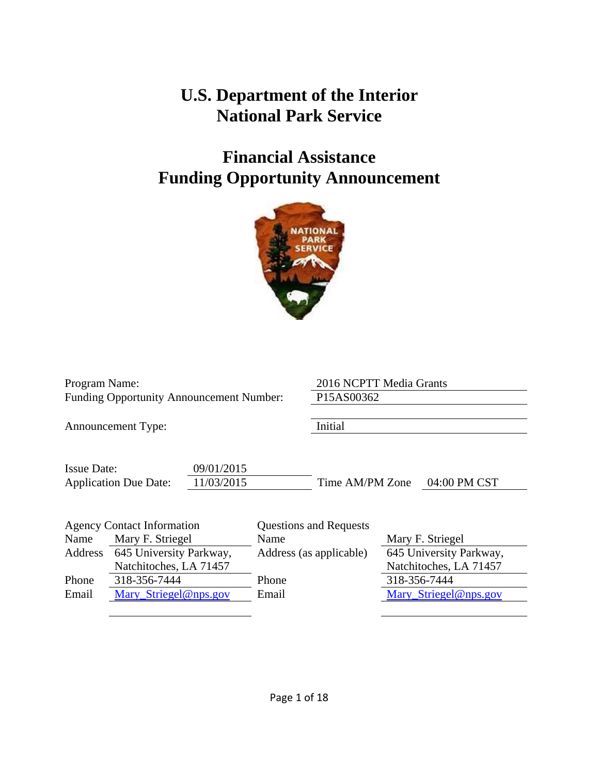# **U.S. Department of the Interior National Park Service**

# **Financial Assistance Funding Opportunity Announcement**



| <b>Funding Opportunity Announcement Number:</b>                                                                   |  |
|-------------------------------------------------------------------------------------------------------------------|--|
| Initial<br><b>Announcement Type:</b>                                                                              |  |
| <b>Issue Date:</b><br>09/01/2015<br>11/03/2015<br><b>Application Due Date:</b><br>Time AM/PM Zone<br>04:00 PM CST |  |
| <b>Agency Contact Information</b><br><b>Questions and Requests</b>                                                |  |
| Name<br>Mary F. Striegel<br>Mary F. Striegel<br>Name                                                              |  |
| 645 University Parkway,<br>645 University Parkway,<br>Address<br>Address (as applicable)                          |  |
| Natchitoches, LA 71457<br>Natchitoches, LA 71457                                                                  |  |
| 318-356-7444<br>318-356-7444<br>Phone<br>Phone                                                                    |  |
| Mary Striegel@nps.gov<br>Mary_Striegel@nps.gov<br>Email<br>Email                                                  |  |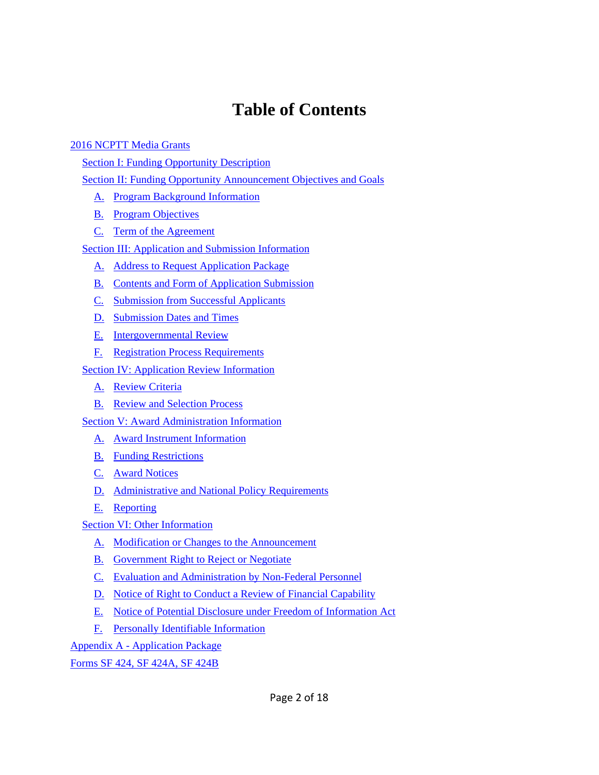# **Table of Contents**

#### 2016 NCPTT Media Grants

Section I: Funding Opportunity Description

Section II: Funding Opportunity Announcement Objectives and Goals

- A. Program Background Information
- **B.** Program Objectives
- C. Term of the Agreement

Section III: Application and Submission Information

- A. Address to Request Application Package
- B. Contents and Form of Application Submission
- C. Submission from Successful Applicants
- D. Submission Dates and Times
- E. Intergovernmental Review
- F. Registration Process Requirements

Section IV: Application Review Information

- A. Review Criteria
- B. Review and Selection Process

Section V: Award Administration Information

- A. Award Instrument Information
- B. Funding Restrictions
- C. Award Notices
- D. Administrative and National Policy Requirements
- E. Reporting

Section VI: Other Information

- A. Modification or Changes to the Announcement
- B. Government Right to Reject or Negotiate
- C. Evaluation and Administration by Non-Federal Personnel
- D. Notice of Right to Conduct a Review of Financial Capability
- E. Notice of Potential Disclosure under Freedom of Information Act
- F. Personally Identifiable Information

## Appendix A - Application Package

Forms SF 424, SF 424A, SF 424B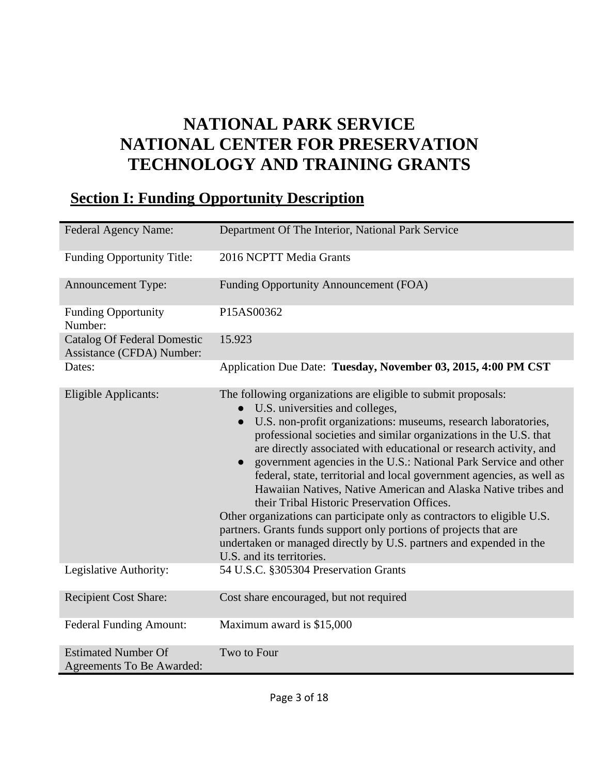# **NATIONAL PARK SERVICE NATIONAL CENTER FOR PRESERVATION TECHNOLOGY AND TRAINING GRANTS**

# **Section I: Funding Opportunity Description**

| <b>Federal Agency Name:</b>                                     | Department Of The Interior, National Park Service                                                                                                                                                                                                                                                                                                                                                                                                                                                                                                                                                                                                                                                                                                                                                                                                                       |
|-----------------------------------------------------------------|-------------------------------------------------------------------------------------------------------------------------------------------------------------------------------------------------------------------------------------------------------------------------------------------------------------------------------------------------------------------------------------------------------------------------------------------------------------------------------------------------------------------------------------------------------------------------------------------------------------------------------------------------------------------------------------------------------------------------------------------------------------------------------------------------------------------------------------------------------------------------|
| <b>Funding Opportunity Title:</b>                               | 2016 NCPTT Media Grants                                                                                                                                                                                                                                                                                                                                                                                                                                                                                                                                                                                                                                                                                                                                                                                                                                                 |
| <b>Announcement Type:</b>                                       | Funding Opportunity Announcement (FOA)                                                                                                                                                                                                                                                                                                                                                                                                                                                                                                                                                                                                                                                                                                                                                                                                                                  |
| <b>Funding Opportunity</b><br>Number:                           | P15AS00362                                                                                                                                                                                                                                                                                                                                                                                                                                                                                                                                                                                                                                                                                                                                                                                                                                                              |
| <b>Catalog Of Federal Domestic</b><br>Assistance (CFDA) Number: | 15.923                                                                                                                                                                                                                                                                                                                                                                                                                                                                                                                                                                                                                                                                                                                                                                                                                                                                  |
| Dates:                                                          | Application Due Date: Tuesday, November 03, 2015, 4:00 PM CST                                                                                                                                                                                                                                                                                                                                                                                                                                                                                                                                                                                                                                                                                                                                                                                                           |
| Eligible Applicants:                                            | The following organizations are eligible to submit proposals:<br>U.S. universities and colleges,<br>$\bullet$<br>U.S. non-profit organizations: museums, research laboratories,<br>$\bullet$<br>professional societies and similar organizations in the U.S. that<br>are directly associated with educational or research activity, and<br>government agencies in the U.S.: National Park Service and other<br>$\bullet$<br>federal, state, territorial and local government agencies, as well as<br>Hawaiian Natives, Native American and Alaska Native tribes and<br>their Tribal Historic Preservation Offices.<br>Other organizations can participate only as contractors to eligible U.S.<br>partners. Grants funds support only portions of projects that are<br>undertaken or managed directly by U.S. partners and expended in the<br>U.S. and its territories. |
| Legislative Authority:                                          | 54 U.S.C. §305304 Preservation Grants                                                                                                                                                                                                                                                                                                                                                                                                                                                                                                                                                                                                                                                                                                                                                                                                                                   |
| <b>Recipient Cost Share:</b>                                    | Cost share encouraged, but not required                                                                                                                                                                                                                                                                                                                                                                                                                                                                                                                                                                                                                                                                                                                                                                                                                                 |
| <b>Federal Funding Amount:</b>                                  | Maximum award is \$15,000                                                                                                                                                                                                                                                                                                                                                                                                                                                                                                                                                                                                                                                                                                                                                                                                                                               |
| <b>Estimated Number Of</b><br>Agreements To Be Awarded:         | Two to Four                                                                                                                                                                                                                                                                                                                                                                                                                                                                                                                                                                                                                                                                                                                                                                                                                                                             |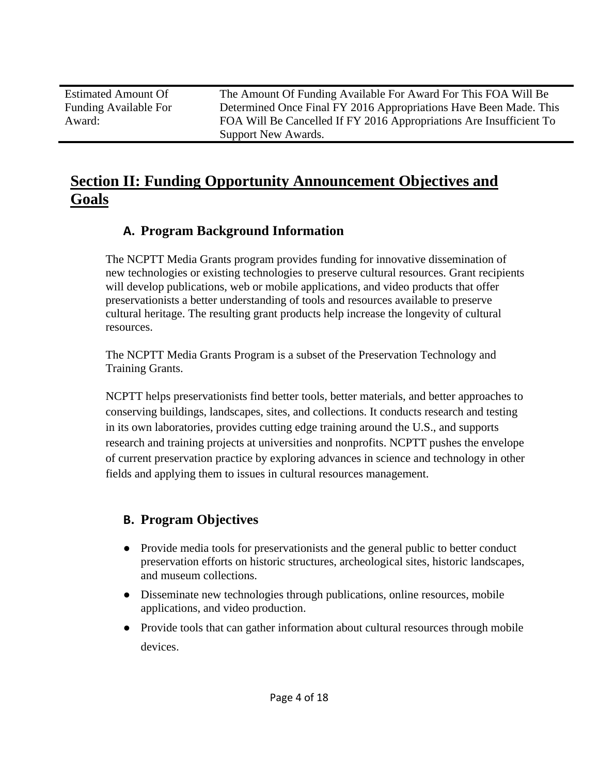Estimated Amount Of Funding Available For Award:

The Amount Of Funding Available For Award For This FOA Will Be Determined Once Final FY 2016 Appropriations Have Been Made. This FOA Will Be Cancelled If FY 2016 Appropriations Are Insufficient To Support New Awards.

# **Section II: Funding Opportunity Announcement Objectives and Goals**

# **A. Program Background Information**

The NCPTT Media Grants program provides funding for innovative dissemination of new technologies or existing technologies to preserve cultural resources. Grant recipients will develop publications, web or mobile applications, and video products that offer preservationists a better understanding of tools and resources available to preserve cultural heritage. The resulting grant products help increase the longevity of cultural resources.

The NCPTT Media Grants Program is a subset of the Preservation Technology and Training Grants.

NCPTT helps preservationists find better tools, better materials, and better approaches to conserving buildings, landscapes, sites, and collections. It conducts research and testing in its own laboratories, provides cutting edge training around the U.S., and supports research and training projects at universities and nonprofits. NCPTT pushes the envelope of current preservation practice by exploring advances in science and technology in other fields and applying them to issues in cultural resources management.

# **B. Program Objectives**

- Provide media tools for preservationists and the general public to better conduct preservation efforts on historic structures, archeological sites, historic landscapes, and museum collections.
- Disseminate new technologies through publications, online resources, mobile applications, and video production.
- Provide tools that can gather information about cultural resources through mobile devices.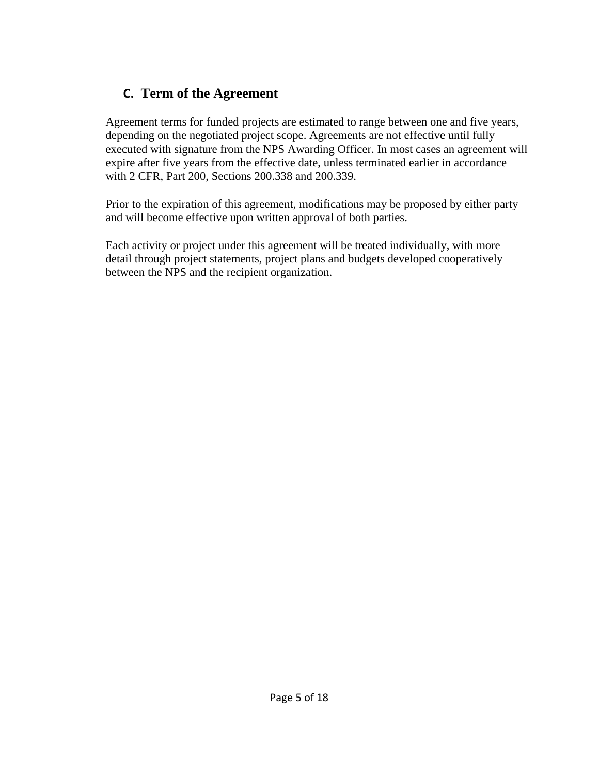# **C. Term of the Agreement**

Agreement terms for funded projects are estimated to range between one and five years, depending on the negotiated project scope. Agreements are not effective until fully executed with signature from the NPS Awarding Officer. In most cases an agreement will expire after five years from the effective date, unless terminated earlier in accordance with 2 CFR, Part 200, Sections 200.338 and 200.339.

Prior to the expiration of this agreement, modifications may be proposed by either party and will become effective upon written approval of both parties.

Each activity or project under this agreement will be treated individually, with more detail through project statements, project plans and budgets developed cooperatively between the NPS and the recipient organization.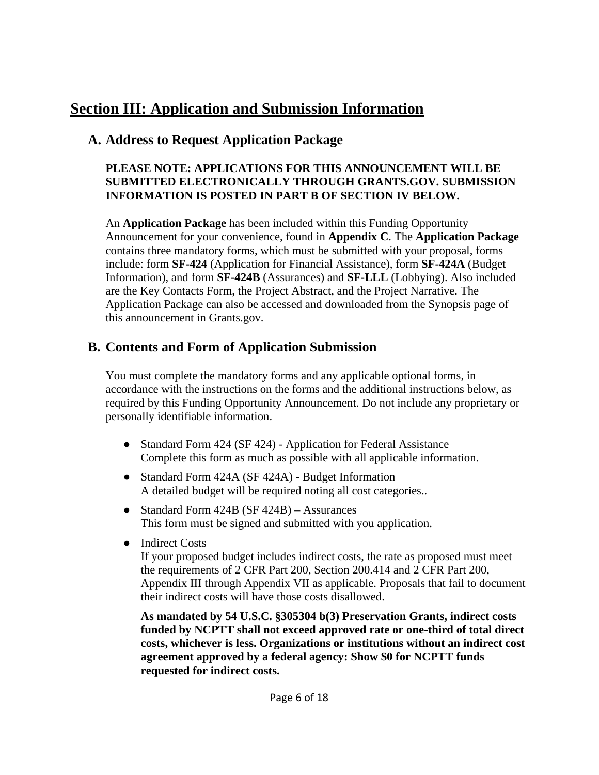# **Section III: Application and Submission Information**

# **A. Address to Request Application Package**

### **PLEASE NOTE: APPLICATIONS FOR THIS ANNOUNCEMENT WILL BE SUBMITTED ELECTRONICALLY THROUGH GRANTS.GOV. SUBMISSION INFORMATION IS POSTED IN PART B OF SECTION IV BELOW.**

An **Application Package** has been included within this Funding Opportunity Announcement for your convenience, found in **Appendix C**. The **Application Package** contains three mandatory forms, which must be submitted with your proposal, forms include: form **SF-424** (Application for Financial Assistance), form **SF-424A** (Budget Information), and form **SF-424B** (Assurances) and **SF-LLL** (Lobbying). Also included are the Key Contacts Form, the Project Abstract, and the Project Narrative. The Application Package can also be accessed and downloaded from the Synopsis page of this announcement in Grants.gov.

# **B. Contents and Form of Application Submission**

You must complete the mandatory forms and any applicable optional forms, in accordance with the instructions on the forms and the additional instructions below, as required by this Funding Opportunity Announcement. Do not include any proprietary or personally identifiable information.

- Standard Form 424 (SF 424) Application for Federal Assistance Complete this form as much as possible with all applicable information.
- Standard Form 424A (SF 424A) Budget Information A detailed budget will be required noting all cost categories..
- Standard Form 424B (SF 424B) Assurances This form must be signed and submitted with you application.
- Indirect Costs

If your proposed budget includes indirect costs, the rate as proposed must meet the requirements of 2 CFR Part 200, Section 200.414 and 2 CFR Part 200, Appendix III through Appendix VII as applicable. Proposals that fail to document their indirect costs will have those costs disallowed.

**As mandated by 54 U.S.C. §305304 b(3) Preservation Grants, indirect costs funded by NCPTT shall not exceed approved rate or one-third of total direct costs, whichever is less. Organizations or institutions without an indirect cost agreement approved by a federal agency: Show \$0 for NCPTT funds requested for indirect costs.**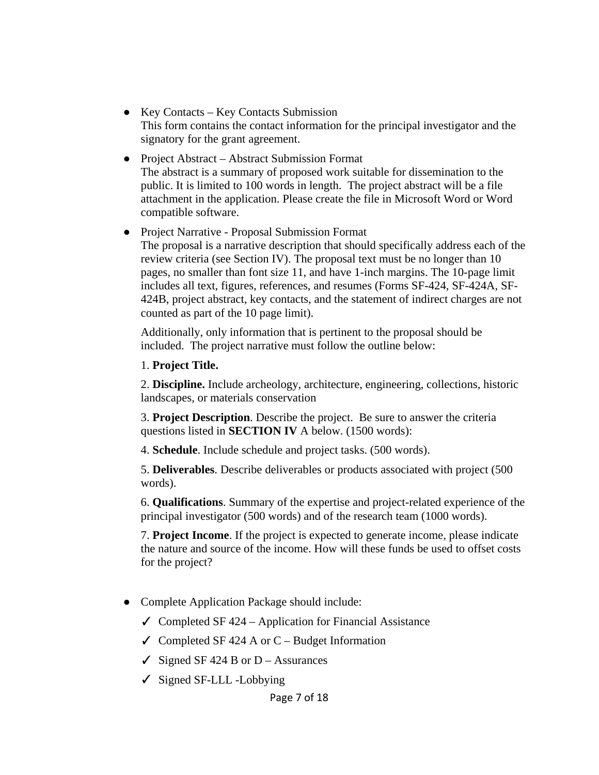- Key Contacts Key Contacts Submission This form contains the contact information for the principal investigator and the signatory for the grant agreement.
- Project Abstract Abstract Submission Format The abstract is a summary of proposed work suitable for dissemination to the public. It is limited to 100 words in length. The project abstract will be a file attachment in the application. Please create the file in Microsoft Word or Word compatible software.

## ● Project Narrative - Proposal Submission Format

The proposal is a narrative description that should specifically address each of the review criteria (see Section IV). The proposal text must be no longer than 10 pages, no smaller than font size 11, and have 1-inch margins. The 10-page limit includes all text, figures, references, and resumes (Forms SF-424, SF-424A, SF-424B, project abstract, key contacts, and the statement of indirect charges are not counted as part of the 10 page limit).

Additionally, only information that is pertinent to the proposal should be included. The project narrative must follow the outline below:

#### 1. **Project Title.**

2. **Discipline.** Include archeology, architecture, engineering, collections, historic landscapes, or materials conservation

3. **Project Description**. Describe the project. Be sure to answer the criteria questions listed in **SECTION IV** A below. (1500 words):

4. **Schedule**. Include schedule and project tasks. (500 words).

5. **Deliverables**. Describe deliverables or products associated with project (500 words).

6. **Qualifications**. Summary of the expertise and project-related experience of the principal investigator (500 words) and of the research team (1000 words).

7. **Project Income**. If the project is expected to generate income, please indicate the nature and source of the income. How will these funds be used to offset costs for the project?

- Complete Application Package should include:
	- $\checkmark$  Completed SF 424 Application for Financial Assistance
	- $\checkmark$  Completed SF 424 A or C Budget Information
	- $\checkmark$  Signed SF 424 B or D Assurances
	- ✓ Signed SF-LLL -Lobbying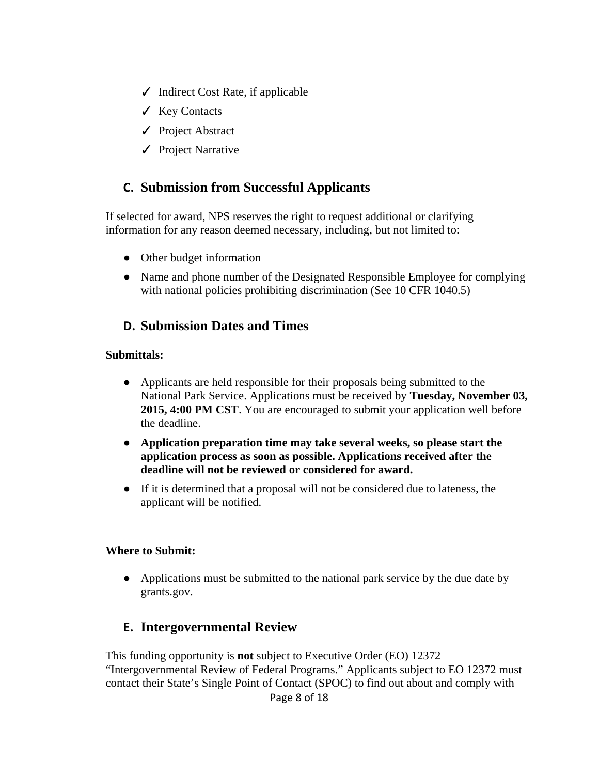- $\checkmark$  Indirect Cost Rate, if applicable
- ✓ Key Contacts
- ✓ Project Abstract
- ✓ Project Narrative

## **C. Submission from Successful Applicants**

If selected for award, NPS reserves the right to request additional or clarifying information for any reason deemed necessary, including, but not limited to:

- Other budget information
- Name and phone number of the Designated Responsible Employee for complying with national policies prohibiting discrimination (See 10 CFR 1040.5)

### **D. Submission Dates and Times**

#### **Submittals:**

- Applicants are held responsible for their proposals being submitted to the National Park Service. Applications must be received by **Tuesday, November 03, 2015, 4:00 PM CST**. You are encouraged to submit your application well before the deadline.
- **Application preparation time may take several weeks, so please start the application process as soon as possible. Applications received after the deadline will not be reviewed or considered for award.**
- If it is determined that a proposal will not be considered due to lateness, the applicant will be notified.

#### **Where to Submit:**

• Applications must be submitted to the national park service by the due date by grants.gov.

## **E. Intergovernmental Review**

This funding opportunity is **not** subject to Executive Order (EO) 12372 "Intergovernmental Review of Federal Programs." Applicants subject to EO 12372 must contact their State's Single Point of Contact (SPOC) to find out about and comply with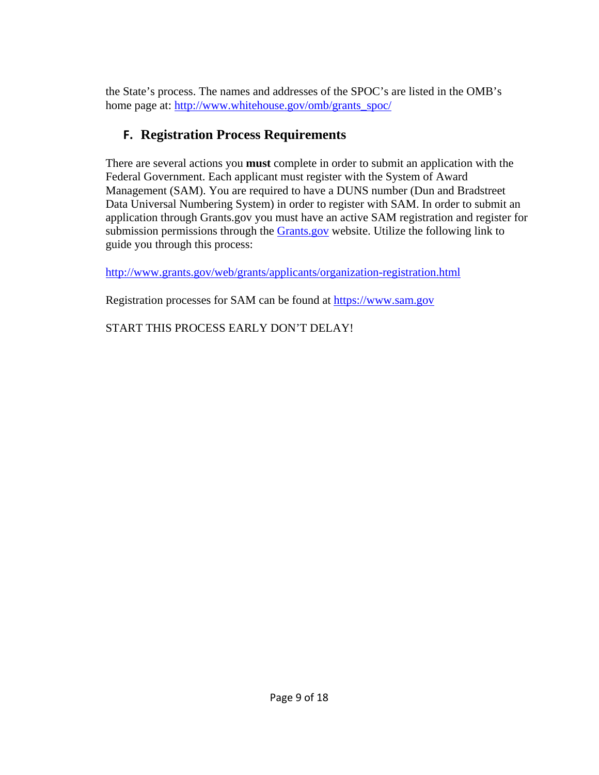the State's process. The names and addresses of the SPOC's are listed in the OMB's home page at: http://www.whitehouse.gov/omb/grants\_spoc/

# **F. Registration Process Requirements**

There are several actions you **must** complete in order to submit an application with the Federal Government. Each applicant must register with the System of Award Management (SAM). You are required to have a DUNS number (Dun and Bradstreet Data Universal Numbering System) in order to register with SAM. In order to submit an application through Grants.gov you must have an active SAM registration and register for submission permissions through the Grants.gov website. Utilize the following link to guide you through this process:

http://www.grants.gov/web/grants/applicants/organization-registration.html

Registration processes for SAM can be found at https://www.sam.gov

START THIS PROCESS EARLY DON'T DELAY!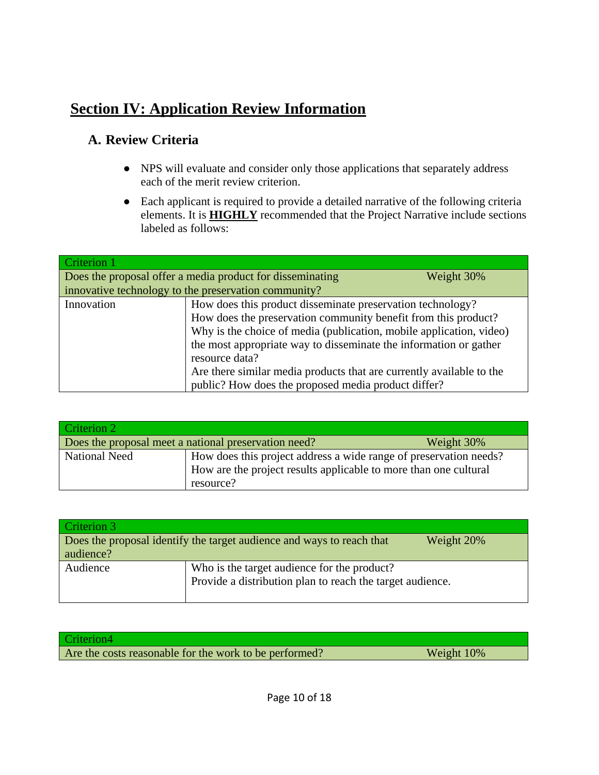# **Section IV: Application Review Information**

# **A. Review Criteria**

- NPS will evaluate and consider only those applications that separately address each of the merit review criterion.
- Each applicant is required to provide a detailed narrative of the following criteria elements. It is **HIGHLY** recommended that the Project Narrative include sections labeled as follows:

| Criterion 1                                                             |                                                                      |  |
|-------------------------------------------------------------------------|----------------------------------------------------------------------|--|
| Does the proposal offer a media product for disseminating<br>Weight 30% |                                                                      |  |
|                                                                         | innovative technology to the preservation community?                 |  |
| Innovation                                                              | How does this product disseminate preservation technology?           |  |
|                                                                         | How does the preservation community benefit from this product?       |  |
|                                                                         | Why is the choice of media (publication, mobile application, video)  |  |
|                                                                         | the most appropriate way to disseminate the information or gather    |  |
|                                                                         | resource data?                                                       |  |
|                                                                         | Are there similar media products that are currently available to the |  |
|                                                                         | public? How does the proposed media product differ?                  |  |

| Criterion 2                                                        |                                                                                                                                                    |  |
|--------------------------------------------------------------------|----------------------------------------------------------------------------------------------------------------------------------------------------|--|
| Does the proposal meet a national preservation need?<br>Weight 30% |                                                                                                                                                    |  |
| <b>National Need</b>                                               | How does this project address a wide range of preservation needs?<br>How are the project results applicable to more than one cultural<br>resource? |  |

| Criterion 3                                                                         |                                                           |  |
|-------------------------------------------------------------------------------------|-----------------------------------------------------------|--|
| Does the proposal identify the target audience and ways to reach that<br>Weight 20% |                                                           |  |
| audience?                                                                           |                                                           |  |
| Audience                                                                            | Who is the target audience for the product?               |  |
|                                                                                     | Provide a distribution plan to reach the target audience. |  |
|                                                                                     |                                                           |  |

| Criterion4                                             |            |
|--------------------------------------------------------|------------|
| Are the costs reasonable for the work to be performed? | Weight 10% |
|                                                        |            |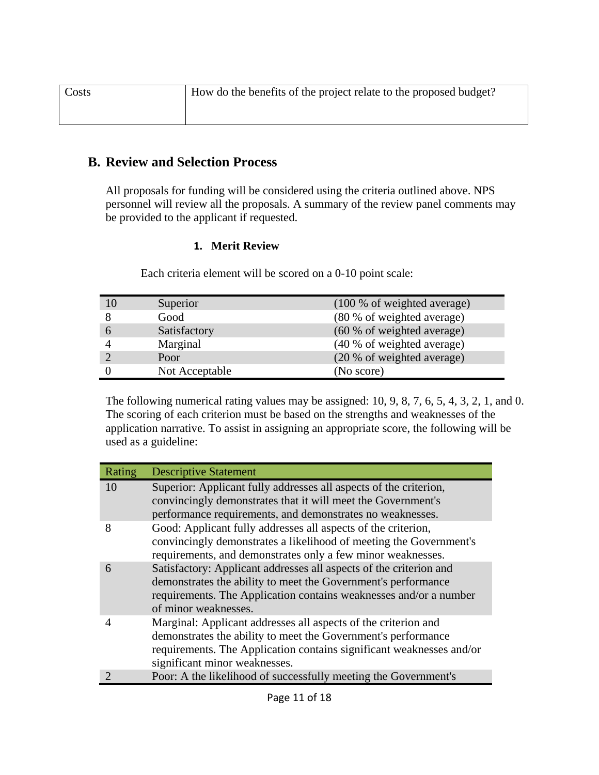### **B. Review and Selection Process**

All proposals for funding will be considered using the criteria outlined above. NPS personnel will review all the proposals. A summary of the review panel comments may be provided to the applicant if requested.

#### **1. Merit Review**

|                | Superior       | (100 % of weighted average) |
|----------------|----------------|-----------------------------|
| 8              | Good           | (80 % of weighted average)  |
| 6              | Satisfactory   | (60 % of weighted average)  |
| $\overline{4}$ | Marginal       | (40 % of weighted average)  |
| $\bigcirc$     | Poor           | (20 % of weighted average)  |
| $\overline{0}$ | Not Acceptable | (No score)                  |

Each criteria element will be scored on a 0-10 point scale:

The following numerical rating values may be assigned: 10, 9, 8, 7, 6, 5, 4, 3, 2, 1, and 0. The scoring of each criterion must be based on the strengths and weaknesses of the application narrative. To assist in assigning an appropriate score, the following will be used as a guideline:

| Rating | <b>Descriptive Statement</b>                                                                                                                                                                                                             |
|--------|------------------------------------------------------------------------------------------------------------------------------------------------------------------------------------------------------------------------------------------|
| 10     | Superior: Applicant fully addresses all aspects of the criterion,<br>convincingly demonstrates that it will meet the Government's<br>performance requirements, and demonstrates no weaknesses.                                           |
| 8      | Good: Applicant fully addresses all aspects of the criterion,<br>convincingly demonstrates a likelihood of meeting the Government's<br>requirements, and demonstrates only a few minor weaknesses.                                       |
| 6      | Satisfactory: Applicant addresses all aspects of the criterion and<br>demonstrates the ability to meet the Government's performance<br>requirements. The Application contains weaknesses and/or a number<br>of minor weaknesses.         |
| 4      | Marginal: Applicant addresses all aspects of the criterion and<br>demonstrates the ability to meet the Government's performance<br>requirements. The Application contains significant weaknesses and/or<br>significant minor weaknesses. |
|        | Poor: A the likelihood of successfully meeting the Government's                                                                                                                                                                          |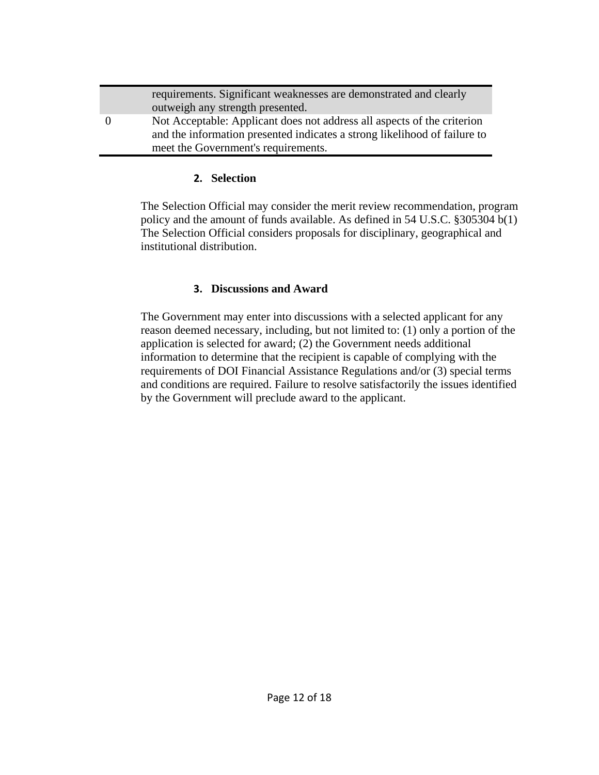|          | requirements. Significant weaknesses are demonstrated and clearly         |
|----------|---------------------------------------------------------------------------|
|          | outweigh any strength presented.                                          |
| $\Omega$ | Not Acceptable: Applicant does not address all aspects of the criterion   |
|          | and the information presented indicates a strong likelihood of failure to |
|          | meet the Government's requirements.                                       |

#### **2. Selection**

The Selection Official may consider the merit review recommendation, program policy and the amount of funds available. As defined in 54 U.S.C. §305304 b(1) The Selection Official considers proposals for disciplinary, geographical and institutional distribution.

#### **3. Discussions and Award**

The Government may enter into discussions with a selected applicant for any reason deemed necessary, including, but not limited to: (1) only a portion of the application is selected for award; (2) the Government needs additional information to determine that the recipient is capable of complying with the requirements of DOI Financial Assistance Regulations and/or (3) special terms and conditions are required. Failure to resolve satisfactorily the issues identified by the Government will preclude award to the applicant.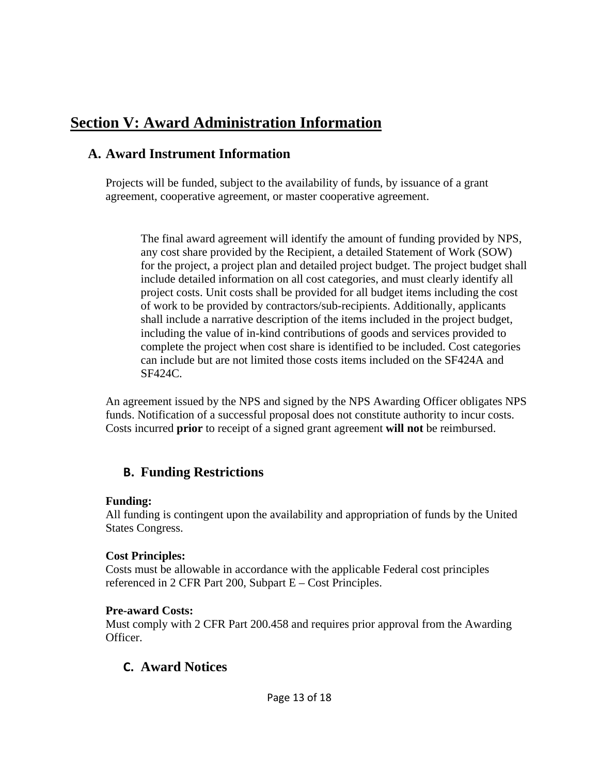# **Section V: Award Administration Information**

# **A. Award Instrument Information**

Projects will be funded, subject to the availability of funds, by issuance of a grant agreement, cooperative agreement, or master cooperative agreement.

The final award agreement will identify the amount of funding provided by NPS, any cost share provided by the Recipient, a detailed Statement of Work (SOW) for the project, a project plan and detailed project budget. The project budget shall include detailed information on all cost categories, and must clearly identify all project costs. Unit costs shall be provided for all budget items including the cost of work to be provided by contractors/sub-recipients. Additionally, applicants shall include a narrative description of the items included in the project budget, including the value of in-kind contributions of goods and services provided to complete the project when cost share is identified to be included. Cost categories can include but are not limited those costs items included on the SF424A and SF424C.

An agreement issued by the NPS and signed by the NPS Awarding Officer obligates NPS funds. Notification of a successful proposal does not constitute authority to incur costs. Costs incurred **prior** to receipt of a signed grant agreement **will not** be reimbursed.

# **B. Funding Restrictions**

### **Funding:**

All funding is contingent upon the availability and appropriation of funds by the United States Congress.

### **Cost Principles:**

Costs must be allowable in accordance with the applicable Federal cost principles referenced in 2 CFR Part 200, Subpart E – Cost Principles.

## **Pre-award Costs:**

Must comply with 2 CFR Part 200.458 and requires prior approval from the Awarding Officer.

# **C. Award Notices**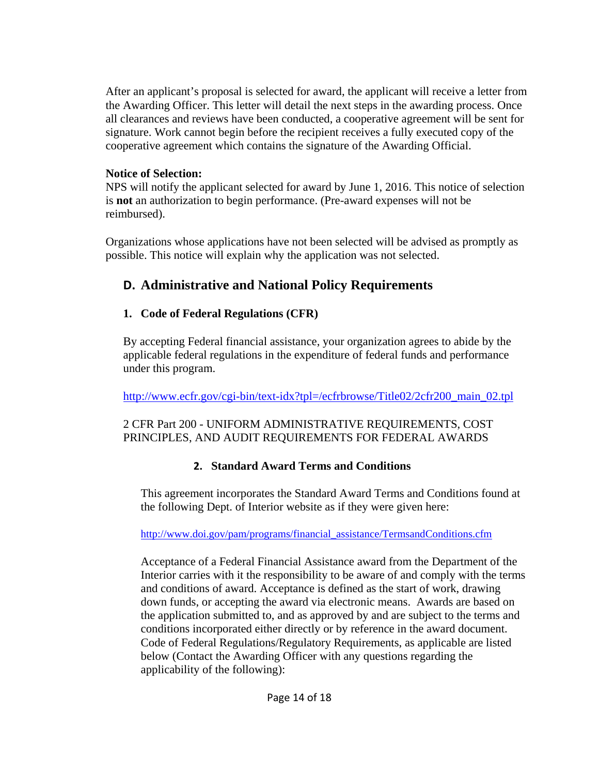After an applicant's proposal is selected for award, the applicant will receive a letter from the Awarding Officer. This letter will detail the next steps in the awarding process. Once all clearances and reviews have been conducted, a cooperative agreement will be sent for signature. Work cannot begin before the recipient receives a fully executed copy of the cooperative agreement which contains the signature of the Awarding Official.

### **Notice of Selection:**

NPS will notify the applicant selected for award by June 1, 2016. This notice of selection is **not** an authorization to begin performance. (Pre-award expenses will not be reimbursed).

Organizations whose applications have not been selected will be advised as promptly as possible. This notice will explain why the application was not selected.

# **D. Administrative and National Policy Requirements**

## **1. Code of Federal Regulations (CFR)**

By accepting Federal financial assistance, your organization agrees to abide by the applicable federal regulations in the expenditure of federal funds and performance under this program.

http://www.ecfr.gov/cgi-bin/text-idx?tpl=/ecfrbrowse/Title02/2cfr200\_main\_02.tpl

### 2 CFR Part 200 - UNIFORM ADMINISTRATIVE REQUIREMENTS, COST PRINCIPLES, AND AUDIT REQUIREMENTS FOR FEDERAL AWARDS

# **2. Standard Award Terms and Conditions**

This agreement incorporates the Standard Award Terms and Conditions found at the following Dept. of Interior website as if they were given here:

http://www.doi.gov/pam/programs/financial\_assistance/TermsandConditions.cfm

Acceptance of a Federal Financial Assistance award from the Department of the Interior carries with it the responsibility to be aware of and comply with the terms and conditions of award. Acceptance is defined as the start of work, drawing down funds, or accepting the award via electronic means. Awards are based on the application submitted to, and as approved by and are subject to the terms and conditions incorporated either directly or by reference in the award document. Code of Federal Regulations/Regulatory Requirements, as applicable are listed below (Contact the Awarding Officer with any questions regarding the applicability of the following):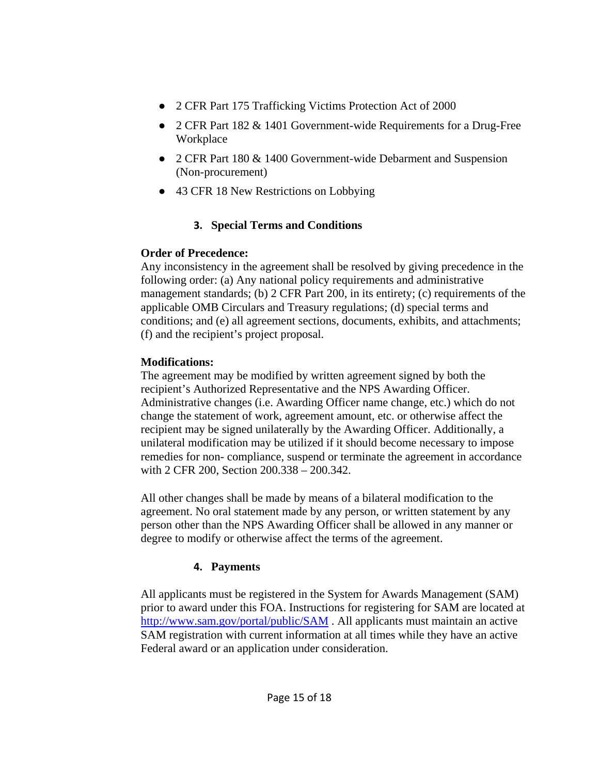- 2 CFR Part 175 Trafficking Victims Protection Act of 2000
- 2 CFR Part 182 & 1401 Government-wide Requirements for a Drug-Free Workplace
- 2 CFR Part 180 & 1400 Government-wide Debarment and Suspension (Non-procurement)
- 43 CFR 18 New Restrictions on Lobbying

## **3. Special Terms and Conditions**

## **Order of Precedence:**

Any inconsistency in the agreement shall be resolved by giving precedence in the following order: (a) Any national policy requirements and administrative management standards; (b) 2 CFR Part 200, in its entirety; (c) requirements of the applicable OMB Circulars and Treasury regulations; (d) special terms and conditions; and (e) all agreement sections, documents, exhibits, and attachments; (f) and the recipient's project proposal.

# **Modifications:**

The agreement may be modified by written agreement signed by both the recipient's Authorized Representative and the NPS Awarding Officer. Administrative changes (i.e. Awarding Officer name change, etc.) which do not change the statement of work, agreement amount, etc. or otherwise affect the recipient may be signed unilaterally by the Awarding Officer. Additionally, a unilateral modification may be utilized if it should become necessary to impose remedies for non- compliance, suspend or terminate the agreement in accordance with 2 CFR 200, Section 200.338 – 200.342.

All other changes shall be made by means of a bilateral modification to the agreement. No oral statement made by any person, or written statement by any person other than the NPS Awarding Officer shall be allowed in any manner or degree to modify or otherwise affect the terms of the agreement.

# **4. Payments**

All applicants must be registered in the System for Awards Management (SAM) prior to award under this FOA. Instructions for registering for SAM are located at http://www.sam.gov/portal/public/SAM . All applicants must maintain an active SAM registration with current information at all times while they have an active Federal award or an application under consideration.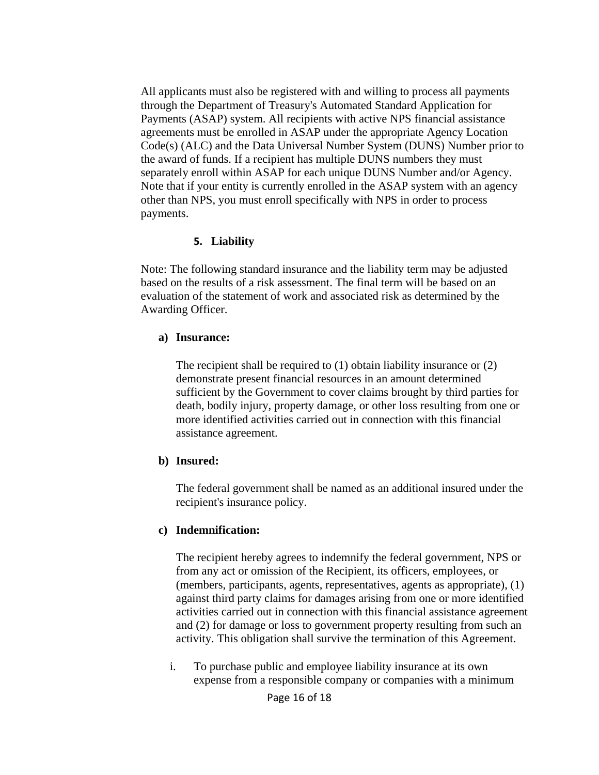All applicants must also be registered with and willing to process all payments through the Department of Treasury's Automated Standard Application for Payments (ASAP) system. All recipients with active NPS financial assistance agreements must be enrolled in ASAP under the appropriate Agency Location Code(s) (ALC) and the Data Universal Number System (DUNS) Number prior to the award of funds. If a recipient has multiple DUNS numbers they must separately enroll within ASAP for each unique DUNS Number and/or Agency. Note that if your entity is currently enrolled in the ASAP system with an agency other than NPS, you must enroll specifically with NPS in order to process payments.

#### **5. Liability**

Note: The following standard insurance and the liability term may be adjusted based on the results of a risk assessment. The final term will be based on an evaluation of the statement of work and associated risk as determined by the Awarding Officer.

#### **a) Insurance:**

The recipient shall be required to (1) obtain liability insurance or (2) demonstrate present financial resources in an amount determined sufficient by the Government to cover claims brought by third parties for death, bodily injury, property damage, or other loss resulting from one or more identified activities carried out in connection with this financial assistance agreement.

### **b) Insured:**

The federal government shall be named as an additional insured under the recipient's insurance policy.

### **c) Indemnification:**

The recipient hereby agrees to indemnify the federal government, NPS or from any act or omission of the Recipient, its officers, employees, or (members, participants, agents, representatives, agents as appropriate), (1) against third party claims for damages arising from one or more identified activities carried out in connection with this financial assistance agreement and (2) for damage or loss to government property resulting from such an activity. This obligation shall survive the termination of this Agreement.

i. To purchase public and employee liability insurance at its own expense from a responsible company or companies with a minimum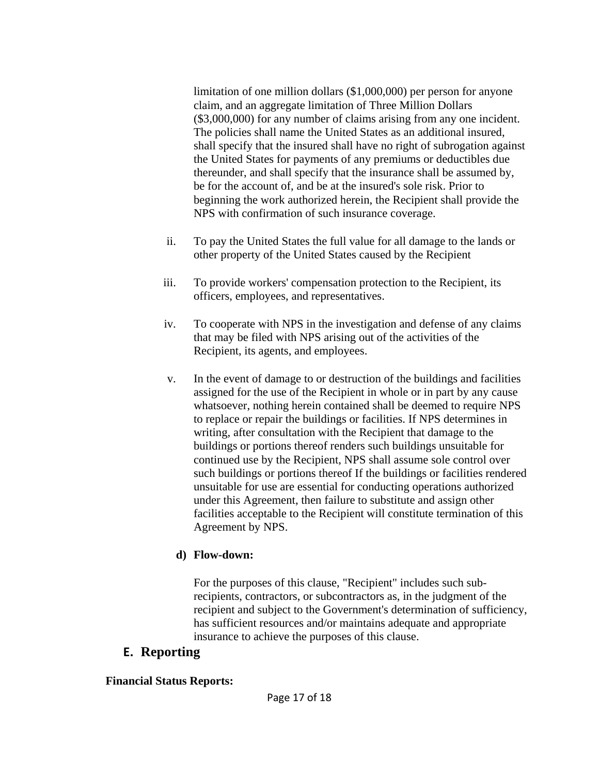limitation of one million dollars (\$1,000,000) per person for anyone claim, and an aggregate limitation of Three Million Dollars (\$3,000,000) for any number of claims arising from any one incident. The policies shall name the United States as an additional insured, shall specify that the insured shall have no right of subrogation against the United States for payments of any premiums or deductibles due thereunder, and shall specify that the insurance shall be assumed by, be for the account of, and be at the insured's sole risk. Prior to beginning the work authorized herein, the Recipient shall provide the NPS with confirmation of such insurance coverage.

- ii. To pay the United States the full value for all damage to the lands or other property of the United States caused by the Recipient
- iii. To provide workers' compensation protection to the Recipient, its officers, employees, and representatives.
- iv. To cooperate with NPS in the investigation and defense of any claims that may be filed with NPS arising out of the activities of the Recipient, its agents, and employees.
- v. In the event of damage to or destruction of the buildings and facilities assigned for the use of the Recipient in whole or in part by any cause whatsoever, nothing herein contained shall be deemed to require NPS to replace or repair the buildings or facilities. If NPS determines in writing, after consultation with the Recipient that damage to the buildings or portions thereof renders such buildings unsuitable for continued use by the Recipient, NPS shall assume sole control over such buildings or portions thereof If the buildings or facilities rendered unsuitable for use are essential for conducting operations authorized under this Agreement, then failure to substitute and assign other facilities acceptable to the Recipient will constitute termination of this Agreement by NPS.

### **d) Flow-down:**

For the purposes of this clause, "Recipient" includes such subrecipients, contractors, or subcontractors as, in the judgment of the recipient and subject to the Government's determination of sufficiency, has sufficient resources and/or maintains adequate and appropriate insurance to achieve the purposes of this clause.

## **E. Reporting**

### **Financial Status Reports:**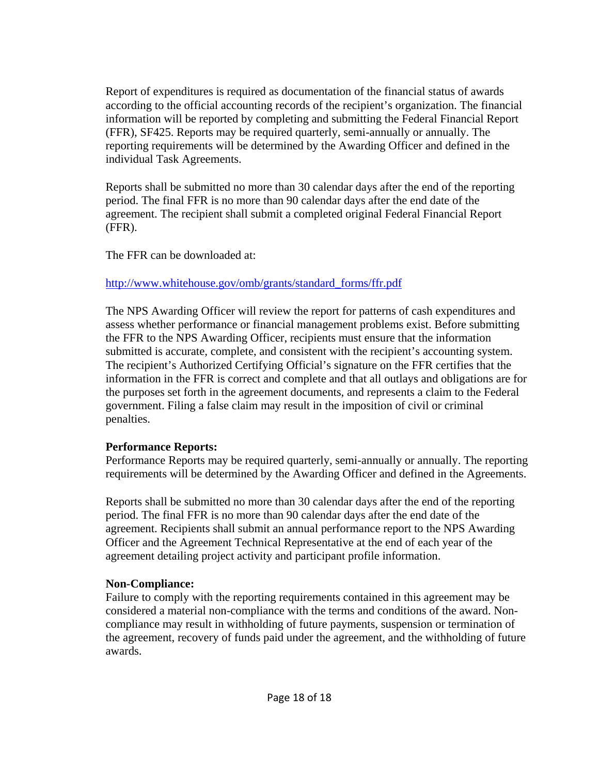Report of expenditures is required as documentation of the financial status of awards according to the official accounting records of the recipient's organization. The financial information will be reported by completing and submitting the Federal Financial Report (FFR), SF425. Reports may be required quarterly, semi-annually or annually. The reporting requirements will be determined by the Awarding Officer and defined in the individual Task Agreements.

Reports shall be submitted no more than 30 calendar days after the end of the reporting period. The final FFR is no more than 90 calendar days after the end date of the agreement. The recipient shall submit a completed original Federal Financial Report (FFR).

The FFR can be downloaded at:

### http://www.whitehouse.gov/omb/grants/standard\_forms/ffr.pdf

The NPS Awarding Officer will review the report for patterns of cash expenditures and assess whether performance or financial management problems exist. Before submitting the FFR to the NPS Awarding Officer, recipients must ensure that the information submitted is accurate, complete, and consistent with the recipient's accounting system. The recipient's Authorized Certifying Official's signature on the FFR certifies that the information in the FFR is correct and complete and that all outlays and obligations are for the purposes set forth in the agreement documents, and represents a claim to the Federal government. Filing a false claim may result in the imposition of civil or criminal penalties.

### **Performance Reports:**

Performance Reports may be required quarterly, semi-annually or annually. The reporting requirements will be determined by the Awarding Officer and defined in the Agreements.

Reports shall be submitted no more than 30 calendar days after the end of the reporting period. The final FFR is no more than 90 calendar days after the end date of the agreement. Recipients shall submit an annual performance report to the NPS Awarding Officer and the Agreement Technical Representative at the end of each year of the agreement detailing project activity and participant profile information.

### **Non-Compliance:**

Failure to comply with the reporting requirements contained in this agreement may be considered a material non-compliance with the terms and conditions of the award. Noncompliance may result in withholding of future payments, suspension or termination of the agreement, recovery of funds paid under the agreement, and the withholding of future awards.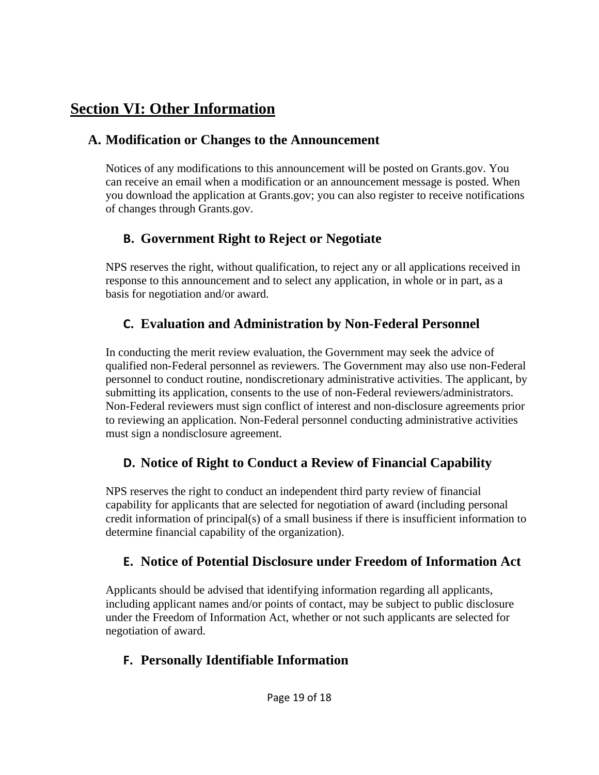# **Section VI: Other Information**

## **A. Modification or Changes to the Announcement**

Notices of any modifications to this announcement will be posted on Grants.gov. You can receive an email when a modification or an announcement message is posted. When you download the application at Grants.gov; you can also register to receive notifications of changes through Grants.gov.

# **B. Government Right to Reject or Negotiate**

NPS reserves the right, without qualification, to reject any or all applications received in response to this announcement and to select any application, in whole or in part, as a basis for negotiation and/or award.

# **C. Evaluation and Administration by Non-Federal Personnel**

In conducting the merit review evaluation, the Government may seek the advice of qualified non-Federal personnel as reviewers. The Government may also use non-Federal personnel to conduct routine, nondiscretionary administrative activities. The applicant, by submitting its application, consents to the use of non-Federal reviewers/administrators. Non-Federal reviewers must sign conflict of interest and non-disclosure agreements prior to reviewing an application. Non-Federal personnel conducting administrative activities must sign a nondisclosure agreement.

# **D. Notice of Right to Conduct a Review of Financial Capability**

NPS reserves the right to conduct an independent third party review of financial capability for applicants that are selected for negotiation of award (including personal credit information of principal(s) of a small business if there is insufficient information to determine financial capability of the organization).

# **E. Notice of Potential Disclosure under Freedom of Information Act**

Applicants should be advised that identifying information regarding all applicants, including applicant names and/or points of contact, may be subject to public disclosure under the Freedom of Information Act, whether or not such applicants are selected for negotiation of award.

# **F. Personally Identifiable Information**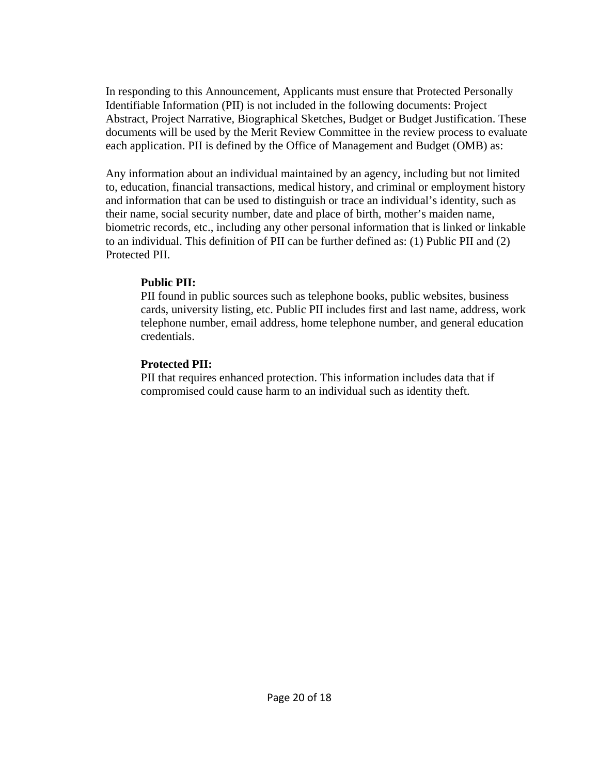In responding to this Announcement, Applicants must ensure that Protected Personally Identifiable Information (PII) is not included in the following documents: Project Abstract, Project Narrative, Biographical Sketches, Budget or Budget Justification. These documents will be used by the Merit Review Committee in the review process to evaluate each application. PII is defined by the Office of Management and Budget (OMB) as:

Any information about an individual maintained by an agency, including but not limited to, education, financial transactions, medical history, and criminal or employment history and information that can be used to distinguish or trace an individual's identity, such as their name, social security number, date and place of birth, mother's maiden name, biometric records, etc., including any other personal information that is linked or linkable to an individual. This definition of PII can be further defined as: (1) Public PII and (2) Protected PII.

#### **Public PII:**

PII found in public sources such as telephone books, public websites, business cards, university listing, etc. Public PII includes first and last name, address, work telephone number, email address, home telephone number, and general education credentials.

### **Protected PII:**

PII that requires enhanced protection. This information includes data that if compromised could cause harm to an individual such as identity theft.